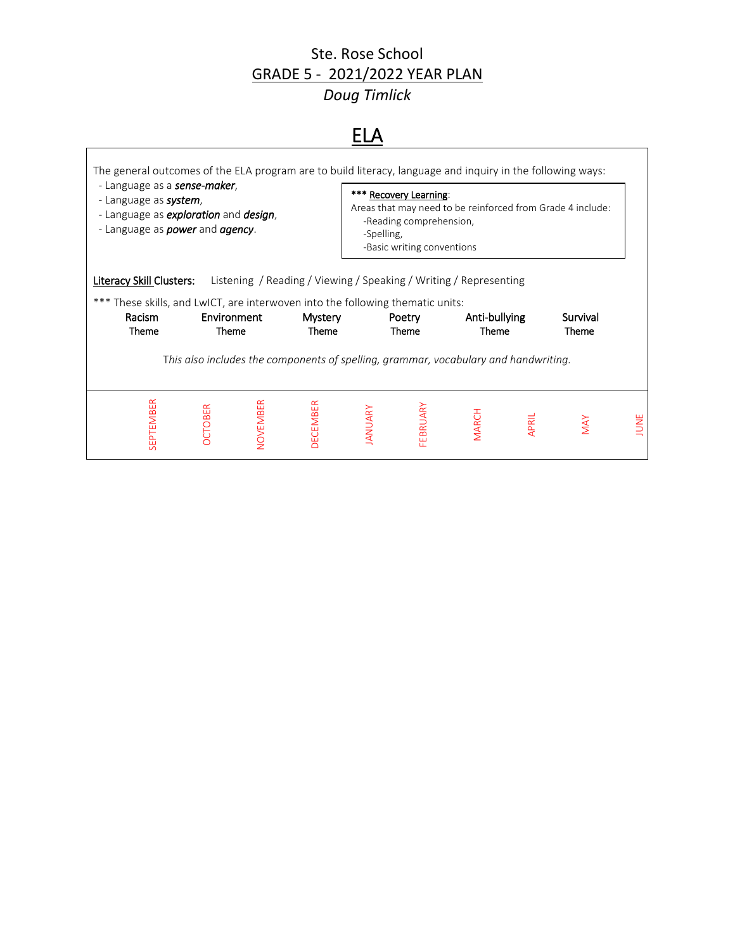#### Ste. Rose School GRADE 5 - 2021/2022 YEAR PLAN

*Doug Timlick*

## ELA

 $\mathsf{l}$ 

| The general outcomes of the ELA program are to build literacy, language and inquiry in the following ways:<br>- Language as a <b>sense-maker</b> ,<br>- Language as <b>system</b> ,<br>- Language as <b>exploration</b> and <b>design</b> ,<br>- Language as <i>power</i> and <i>agency</i> . |                      |                 |                                                                                                     | -Spelling, | *** Recovery Learning:<br>-Reading comprehension,<br>-Basic writing conventions |                        |       | Areas that may need to be reinforced from Grade 4 include: |      |
|-----------------------------------------------------------------------------------------------------------------------------------------------------------------------------------------------------------------------------------------------------------------------------------------------|----------------------|-----------------|-----------------------------------------------------------------------------------------------------|------------|---------------------------------------------------------------------------------|------------------------|-------|------------------------------------------------------------|------|
| Literacy Skill Clusters:<br>*** These skills, and LwICT, are interwoven into the following thematic units:<br>Racism<br>Theme                                                                                                                                                                 | Environment<br>Theme |                 | Listening / Reading / Viewing / Speaking / Writing / Representing<br><b>Mystery</b><br><b>Theme</b> |            | Poetry<br>Theme                                                                 | Anti-bullying<br>Theme |       | Survival<br>Theme                                          |      |
|                                                                                                                                                                                                                                                                                               |                      |                 | This also includes the components of spelling, grammar, vocabulary and handwriting.                 |            |                                                                                 |                        |       |                                                            |      |
| SEPTEMBER                                                                                                                                                                                                                                                                                     | CTOBER               | <b>NOVEMBER</b> | <b>DECEMBER</b>                                                                                     | ANUARY     | <b>EBRUARY</b>                                                                  | <b>MARCH</b>           | APRIL | MAY                                                        | JUNE |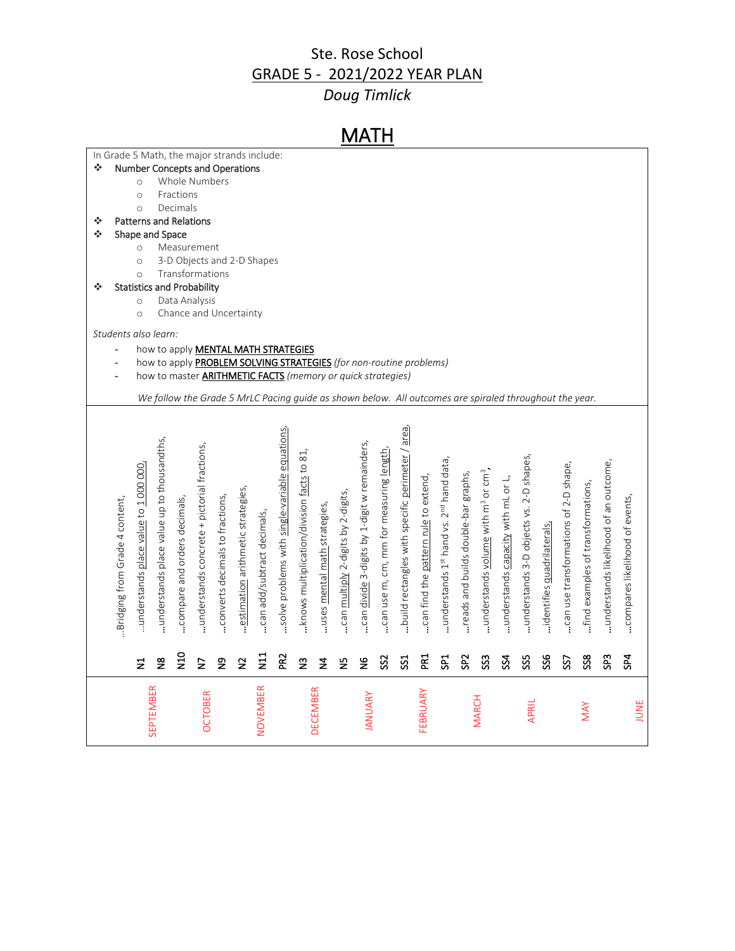### Ste. Rose School GRADE 5 - 2021/2022 YEAR PLAN

## *Doug Timlick*

| In Grade 5 Math, the major strands include:<br>❖<br><b>Number Concepts and Operations</b><br>Whole Numbers<br>$\circ$<br>Fractions<br>$\circ$<br>Decimals<br>$\circ$<br><b>Patterns and Relations</b><br>❖<br>❖<br>Shape and Space<br>Measurement<br>$\circ$<br>3-D Objects and 2-D Shapes<br>$\circ$<br>Transformations<br>$\circ$<br><b>Statistics and Probability</b><br>❖<br>Data Analysis<br>$\circ$<br>Chance and Uncertainty<br>$\circ$<br>Students also learn:<br>how to apply <b>MENTAL MATH STRATEGIES</b><br>$\overline{a}$<br>how to apply PROBLEM SOLVING STRATEGIES (for non-routine problems)<br>$\blacksquare$<br>how to master <b>ARITHMETIC FACTS</b> (memory or quick strategies)<br>$\overline{a}$<br>We follow the Grade 5 MrLC Pacing guide as shown below. All outcomes are spiraled throughout the year.<br>build rectangles with specific perimeter / area,<br>.solve problems with single-variable equations.<br>.understands place value up to thousandths,<br>.can divide 3-digits by 1-digit w remainders,<br>understands concrete + pictorial fractions,<br>can use m, cm, mm for measuring length<br>knows multiplication/division facts to 81.<br>understands 3-D objects vs. 2-D shapes,<br>understands 1st hand vs. 2 <sup>nd</sup> hand data,<br>.understands likelihood of an outcome,<br>can use transformations of 2-D shape,<br>understands place value to 1 000 000,<br>understands volume with m <sup>3</sup> or cm <sup>3</sup> ,<br>reads and builds double-bar graphs,<br>.can find the pattern rule to extend,<br>understands capacity with mL or L,<br>find examples of transformations,<br>estimation arithmetic strategies,<br>can multiply 2-digits by 2-digits,<br>.converts decimals to fractions,<br>compares likelihood of events,<br>compare and orders decimals,<br>Bridging from Grade 4 content,<br>uses mental math strategies,<br>can add/subtract decimals,<br>.identifies quadrilaterals, |  |                  |                |  |          |  |                 | MATH           |  |          |  |              |       |  |     |      |
|--------------------------------------------------------------------------------------------------------------------------------------------------------------------------------------------------------------------------------------------------------------------------------------------------------------------------------------------------------------------------------------------------------------------------------------------------------------------------------------------------------------------------------------------------------------------------------------------------------------------------------------------------------------------------------------------------------------------------------------------------------------------------------------------------------------------------------------------------------------------------------------------------------------------------------------------------------------------------------------------------------------------------------------------------------------------------------------------------------------------------------------------------------------------------------------------------------------------------------------------------------------------------------------------------------------------------------------------------------------------------------------------------------------------------------------------------------------------------------------------------------------------------------------------------------------------------------------------------------------------------------------------------------------------------------------------------------------------------------------------------------------------------------------------------------------------------------------------------------------------------------------------------------------------------------------------------------|--|------------------|----------------|--|----------|--|-----------------|----------------|--|----------|--|--------------|-------|--|-----|------|
|                                                                                                                                                                                                                                                                                                                                                                                                                                                                                                                                                                                                                                                                                                                                                                                                                                                                                                                                                                                                                                                                                                                                                                                                                                                                                                                                                                                                                                                                                                                                                                                                                                                                                                                                                                                                                                                                                                                                                        |  |                  |                |  |          |  |                 |                |  |          |  |              |       |  |     |      |
|                                                                                                                                                                                                                                                                                                                                                                                                                                                                                                                                                                                                                                                                                                                                                                                                                                                                                                                                                                                                                                                                                                                                                                                                                                                                                                                                                                                                                                                                                                                                                                                                                                                                                                                                                                                                                                                                                                                                                        |  |                  |                |  |          |  |                 |                |  |          |  |              |       |  |     |      |
|                                                                                                                                                                                                                                                                                                                                                                                                                                                                                                                                                                                                                                                                                                                                                                                                                                                                                                                                                                                                                                                                                                                                                                                                                                                                                                                                                                                                                                                                                                                                                                                                                                                                                                                                                                                                                                                                                                                                                        |  |                  |                |  |          |  |                 |                |  |          |  |              |       |  |     |      |
|                                                                                                                                                                                                                                                                                                                                                                                                                                                                                                                                                                                                                                                                                                                                                                                                                                                                                                                                                                                                                                                                                                                                                                                                                                                                                                                                                                                                                                                                                                                                                                                                                                                                                                                                                                                                                                                                                                                                                        |  |                  |                |  |          |  |                 |                |  |          |  |              |       |  |     |      |
|                                                                                                                                                                                                                                                                                                                                                                                                                                                                                                                                                                                                                                                                                                                                                                                                                                                                                                                                                                                                                                                                                                                                                                                                                                                                                                                                                                                                                                                                                                                                                                                                                                                                                                                                                                                                                                                                                                                                                        |  |                  |                |  |          |  |                 |                |  |          |  |              |       |  |     |      |
|                                                                                                                                                                                                                                                                                                                                                                                                                                                                                                                                                                                                                                                                                                                                                                                                                                                                                                                                                                                                                                                                                                                                                                                                                                                                                                                                                                                                                                                                                                                                                                                                                                                                                                                                                                                                                                                                                                                                                        |  |                  |                |  |          |  |                 |                |  |          |  |              |       |  |     |      |
|                                                                                                                                                                                                                                                                                                                                                                                                                                                                                                                                                                                                                                                                                                                                                                                                                                                                                                                                                                                                                                                                                                                                                                                                                                                                                                                                                                                                                                                                                                                                                                                                                                                                                                                                                                                                                                                                                                                                                        |  |                  |                |  |          |  |                 |                |  |          |  |              |       |  |     |      |
|                                                                                                                                                                                                                                                                                                                                                                                                                                                                                                                                                                                                                                                                                                                                                                                                                                                                                                                                                                                                                                                                                                                                                                                                                                                                                                                                                                                                                                                                                                                                                                                                                                                                                                                                                                                                                                                                                                                                                        |  |                  |                |  |          |  |                 |                |  |          |  |              |       |  |     |      |
|                                                                                                                                                                                                                                                                                                                                                                                                                                                                                                                                                                                                                                                                                                                                                                                                                                                                                                                                                                                                                                                                                                                                                                                                                                                                                                                                                                                                                                                                                                                                                                                                                                                                                                                                                                                                                                                                                                                                                        |  |                  |                |  |          |  |                 |                |  |          |  |              |       |  |     |      |
|                                                                                                                                                                                                                                                                                                                                                                                                                                                                                                                                                                                                                                                                                                                                                                                                                                                                                                                                                                                                                                                                                                                                                                                                                                                                                                                                                                                                                                                                                                                                                                                                                                                                                                                                                                                                                                                                                                                                                        |  |                  |                |  |          |  |                 |                |  |          |  |              |       |  |     |      |
|                                                                                                                                                                                                                                                                                                                                                                                                                                                                                                                                                                                                                                                                                                                                                                                                                                                                                                                                                                                                                                                                                                                                                                                                                                                                                                                                                                                                                                                                                                                                                                                                                                                                                                                                                                                                                                                                                                                                                        |  |                  |                |  |          |  |                 |                |  |          |  |              |       |  |     |      |
|                                                                                                                                                                                                                                                                                                                                                                                                                                                                                                                                                                                                                                                                                                                                                                                                                                                                                                                                                                                                                                                                                                                                                                                                                                                                                                                                                                                                                                                                                                                                                                                                                                                                                                                                                                                                                                                                                                                                                        |  |                  |                |  |          |  |                 |                |  |          |  |              |       |  |     |      |
|                                                                                                                                                                                                                                                                                                                                                                                                                                                                                                                                                                                                                                                                                                                                                                                                                                                                                                                                                                                                                                                                                                                                                                                                                                                                                                                                                                                                                                                                                                                                                                                                                                                                                                                                                                                                                                                                                                                                                        |  |                  |                |  |          |  |                 |                |  |          |  |              |       |  |     |      |
|                                                                                                                                                                                                                                                                                                                                                                                                                                                                                                                                                                                                                                                                                                                                                                                                                                                                                                                                                                                                                                                                                                                                                                                                                                                                                                                                                                                                                                                                                                                                                                                                                                                                                                                                                                                                                                                                                                                                                        |  |                  |                |  |          |  |                 |                |  |          |  |              |       |  |     |      |
|                                                                                                                                                                                                                                                                                                                                                                                                                                                                                                                                                                                                                                                                                                                                                                                                                                                                                                                                                                                                                                                                                                                                                                                                                                                                                                                                                                                                                                                                                                                                                                                                                                                                                                                                                                                                                                                                                                                                                        |  |                  |                |  |          |  |                 |                |  |          |  |              |       |  |     |      |
|                                                                                                                                                                                                                                                                                                                                                                                                                                                                                                                                                                                                                                                                                                                                                                                                                                                                                                                                                                                                                                                                                                                                                                                                                                                                                                                                                                                                                                                                                                                                                                                                                                                                                                                                                                                                                                                                                                                                                        |  |                  |                |  |          |  |                 |                |  |          |  |              |       |  |     |      |
|                                                                                                                                                                                                                                                                                                                                                                                                                                                                                                                                                                                                                                                                                                                                                                                                                                                                                                                                                                                                                                                                                                                                                                                                                                                                                                                                                                                                                                                                                                                                                                                                                                                                                                                                                                                                                                                                                                                                                        |  |                  |                |  |          |  |                 |                |  |          |  |              |       |  |     |      |
|                                                                                                                                                                                                                                                                                                                                                                                                                                                                                                                                                                                                                                                                                                                                                                                                                                                                                                                                                                                                                                                                                                                                                                                                                                                                                                                                                                                                                                                                                                                                                                                                                                                                                                                                                                                                                                                                                                                                                        |  |                  |                |  |          |  |                 |                |  |          |  |              |       |  |     |      |
|                                                                                                                                                                                                                                                                                                                                                                                                                                                                                                                                                                                                                                                                                                                                                                                                                                                                                                                                                                                                                                                                                                                                                                                                                                                                                                                                                                                                                                                                                                                                                                                                                                                                                                                                                                                                                                                                                                                                                        |  |                  |                |  |          |  |                 |                |  |          |  |              |       |  |     |      |
|                                                                                                                                                                                                                                                                                                                                                                                                                                                                                                                                                                                                                                                                                                                                                                                                                                                                                                                                                                                                                                                                                                                                                                                                                                                                                                                                                                                                                                                                                                                                                                                                                                                                                                                                                                                                                                                                                                                                                        |  |                  |                |  |          |  |                 |                |  |          |  |              |       |  |     |      |
|                                                                                                                                                                                                                                                                                                                                                                                                                                                                                                                                                                                                                                                                                                                                                                                                                                                                                                                                                                                                                                                                                                                                                                                                                                                                                                                                                                                                                                                                                                                                                                                                                                                                                                                                                                                                                                                                                                                                                        |  |                  |                |  |          |  |                 |                |  |          |  |              |       |  |     |      |
|                                                                                                                                                                                                                                                                                                                                                                                                                                                                                                                                                                                                                                                                                                                                                                                                                                                                                                                                                                                                                                                                                                                                                                                                                                                                                                                                                                                                                                                                                                                                                                                                                                                                                                                                                                                                                                                                                                                                                        |  | <b>SEPTEMBER</b> | <b>OCTOBER</b> |  | NOVEMBER |  | <b>DECEMBER</b> | <b>JANUARY</b> |  | FEBRUARY |  | <b>MARCH</b> | APRIL |  | MAY | JUNE |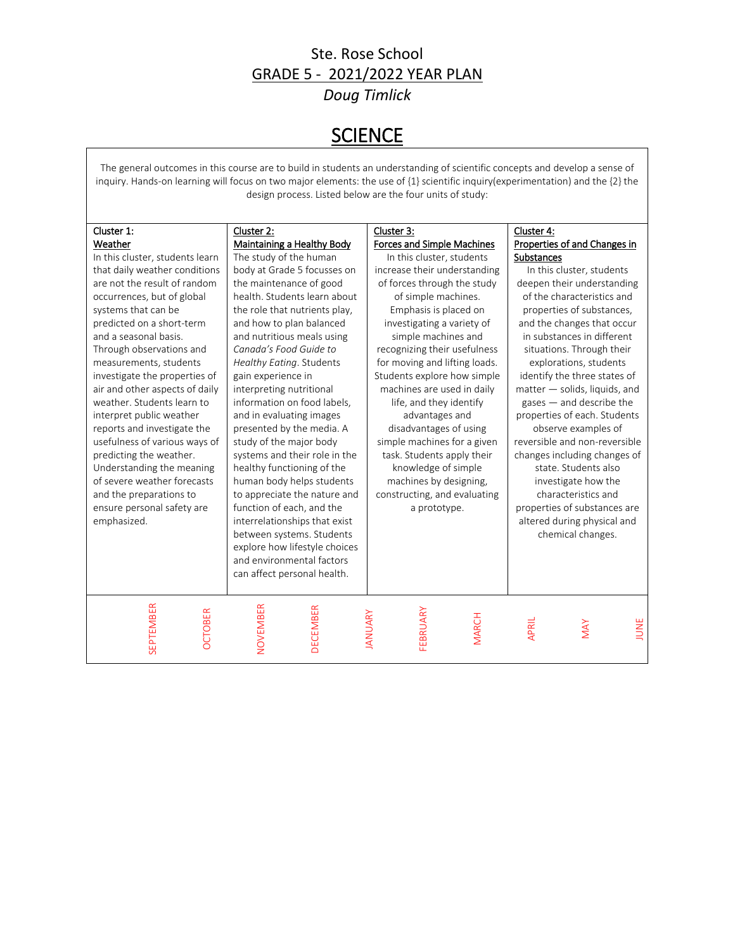#### Ste. Rose School GRADE 5 - 2021/2022 YEAR PLAN *Doug Timlick*

## **SCIENCE**

The general outcomes in this course are to build in students an understanding of scientific concepts and develop a sense of inquiry. Hands-on learning will focus on two major elements: the use of {1} scientific inquiry(experimentation) and the {2} the design process. Listed below are the four units of study:

| Cluster 1:                         |                                   |                                            |                               |
|------------------------------------|-----------------------------------|--------------------------------------------|-------------------------------|
|                                    | Cluster 2:                        | Cluster 3:                                 | Cluster 4:                    |
| Weather                            | <b>Maintaining a Healthy Body</b> | <b>Forces and Simple Machines</b>          | Properties of and Changes in  |
| In this cluster, students learn    | The study of the human            | In this cluster, students                  | <b>Substances</b>             |
| that daily weather conditions      | body at Grade 5 focusses on       | increase their understanding               | In this cluster, students     |
| are not the result of random       | the maintenance of good           | of forces through the study                | deepen their understanding    |
| occurrences, but of global         | health. Students learn about      | of simple machines.                        | of the characteristics and    |
| systems that can be                | the role that nutrients play,     | Emphasis is placed on                      | properties of substances,     |
| predicted on a short-term          | and how to plan balanced          | investigating a variety of                 | and the changes that occur    |
| and a seasonal basis.              | and nutritious meals using        | simple machines and                        | in substances in different    |
| Through observations and           | Canada's Food Guide to            | recognizing their usefulness               | situations. Through their     |
| measurements, students             | Healthy Eating. Students          | for moving and lifting loads.              | explorations, students        |
| investigate the properties of      | gain experience in                | Students explore how simple                | identify the three states of  |
| air and other aspects of daily     | interpreting nutritional          | machines are used in daily                 | matter - solids, liquids, and |
| weather. Students learn to         | information on food labels,       | life, and they identify                    | $gases$ – and describe the    |
| interpret public weather           | and in evaluating images          | advantages and                             | properties of each. Students  |
| reports and investigate the        | presented by the media. A         | disadvantages of using                     | observe examples of           |
| usefulness of various ways of      | study of the major body           | simple machines for a given                | reversible and non-reversible |
| predicting the weather.            | systems and their role in the     | task. Students apply their                 | changes including changes of  |
| Understanding the meaning          | healthy functioning of the        | knowledge of simple                        | state. Students also          |
| of severe weather forecasts        | human body helps students         | machines by designing,                     | investigate how the           |
| and the preparations to            | to appreciate the nature and      | constructing, and evaluating               | characteristics and           |
| ensure personal safety are         | function of each, and the         | a prototype.                               | properties of substances are  |
| emphasized.                        | interrelationships that exist     |                                            | altered during physical and   |
|                                    | between systems. Students         |                                            | chemical changes.             |
|                                    |                                   |                                            |                               |
|                                    | explore how lifestyle choices     |                                            |                               |
|                                    | and environmental factors         |                                            |                               |
|                                    | can affect personal health.       |                                            |                               |
|                                    |                                   |                                            |                               |
|                                    |                                   |                                            |                               |
| <b>SEPTEMBER</b><br><b>OCTOBER</b> | NOVEMBER<br><b>DECEMBER</b>       | FEBRUARY<br><b>IANUARY</b><br><b>MARCH</b> |                               |
|                                    |                                   |                                            | JUNE<br>APRIL<br>MAY          |
|                                    |                                   |                                            |                               |
|                                    |                                   |                                            |                               |